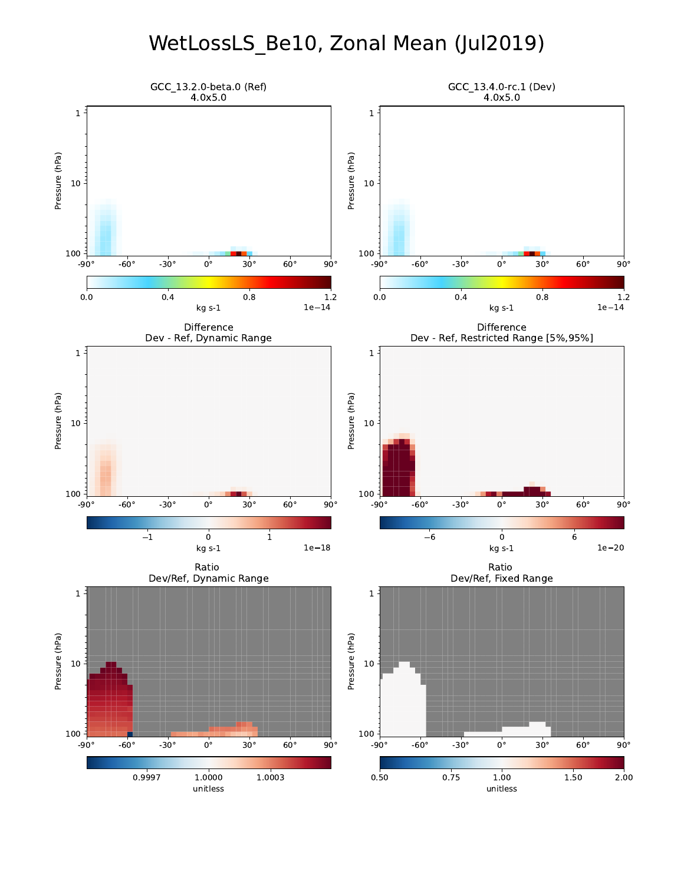# WetLossLS\_Be10, Zonal Mean (Jul2019)

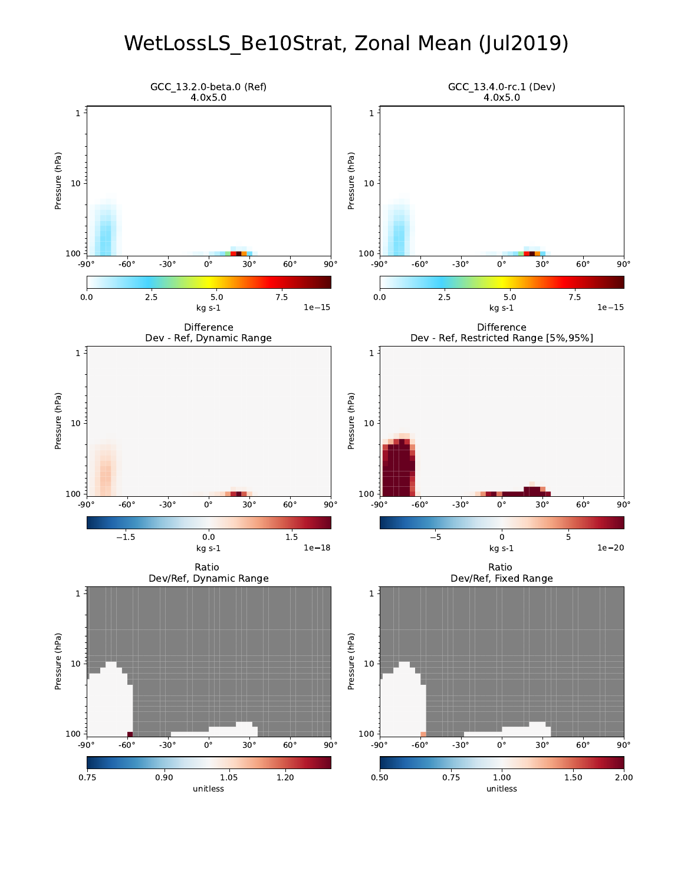### WetLossLS\_Be10Strat, Zonal Mean (Jul2019)

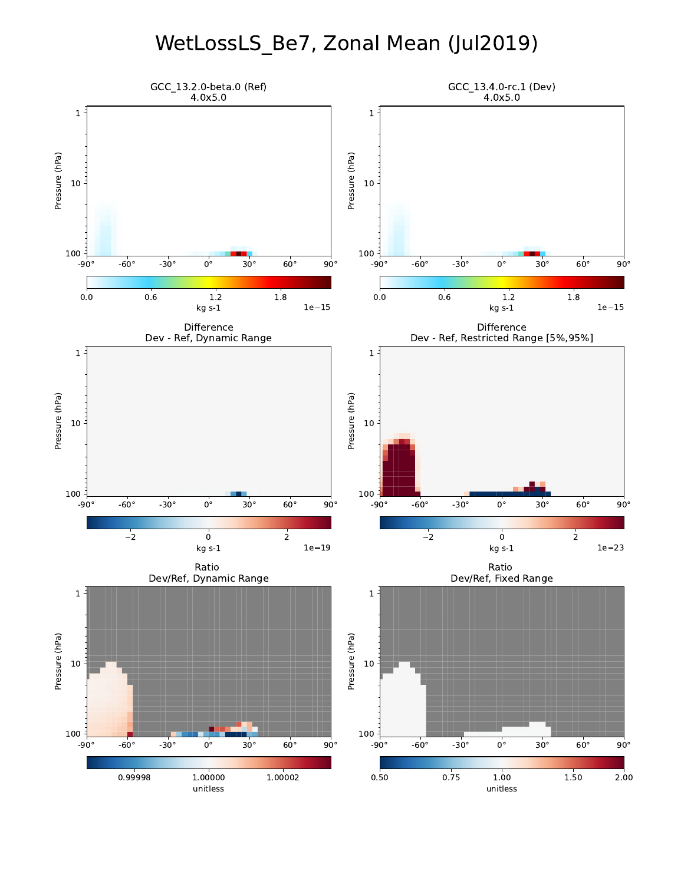# WetLossLS\_Be7, Zonal Mean (Jul2019)

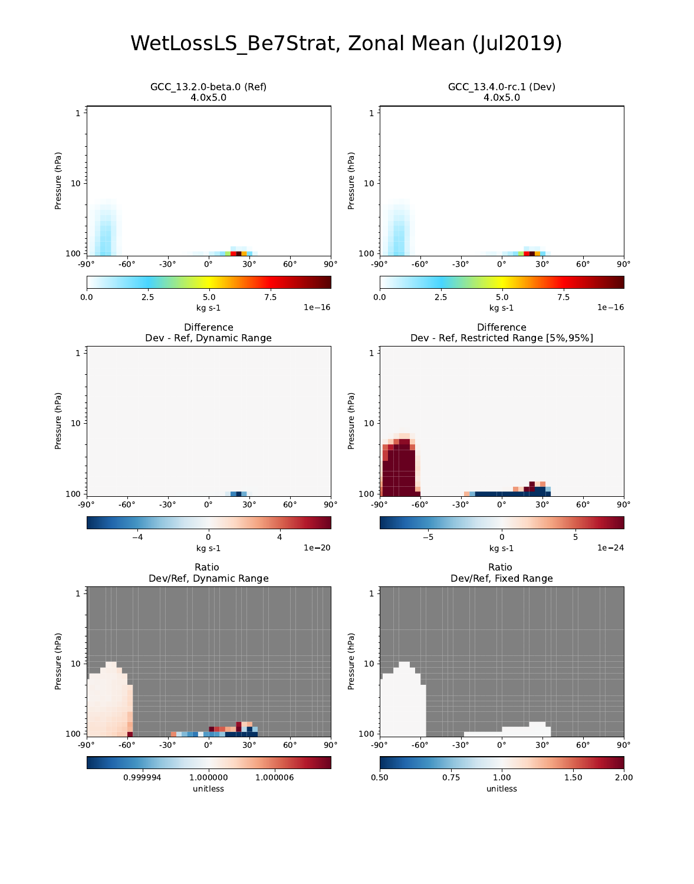### WetLossLS\_Be7Strat, Zonal Mean (Jul2019)

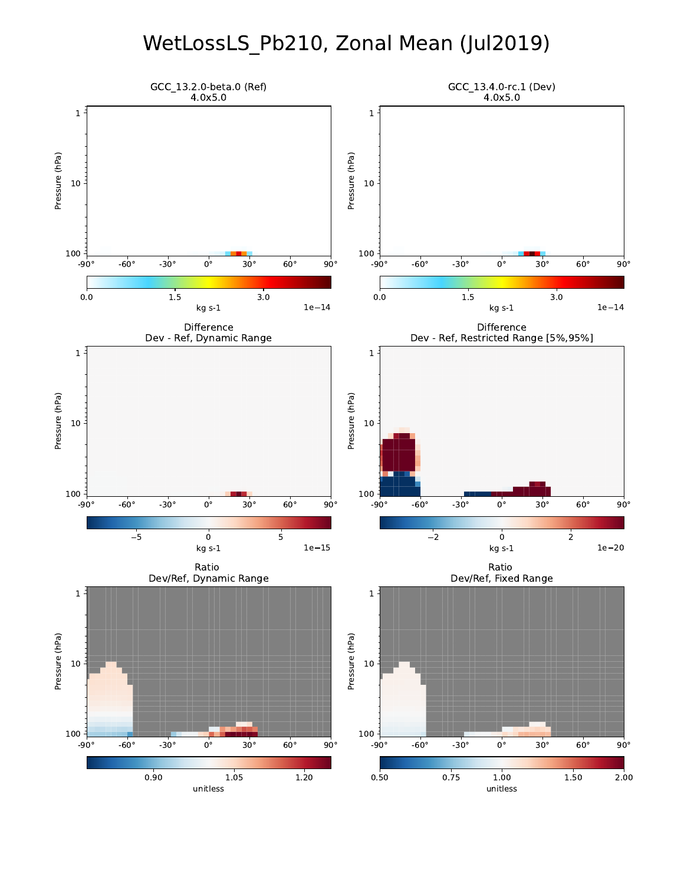### WetLossLS\_Pb210, Zonal Mean (Jul2019)

![](_page_4_Figure_1.jpeg)